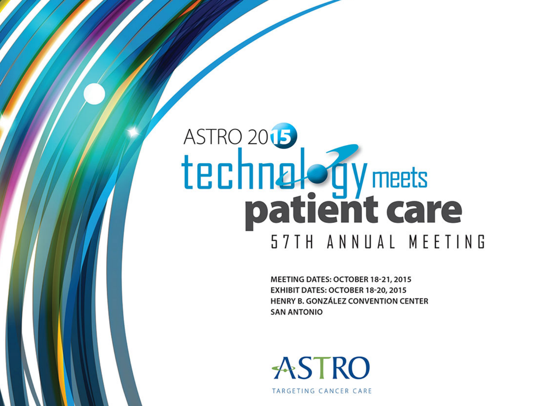# ASTRO<sub>2015</sub> technal of y meets 57TH ANNUAL MEETING

MEETING DATES: OCTOBER 18-21, 2015 EXHIBIT DATES: OCTOBER 18-20, 2015 HENRY B. GONZÁLEZ CONVENTION CENTER **SAN ANTONIO** 

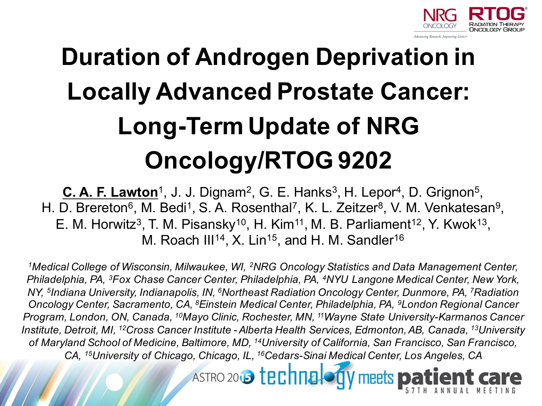

#### **Duration of Androgen Deprivation in Locally Advanced Prostate Cancer: Long-Term Update of NRG Oncology/RTOG 9202**

**C. A. F. Lawton**<sup>1</sup>, J. J. Dignam<sup>2</sup>, G. E. Hanks<sup>3</sup>, H. Lepor<sup>4</sup>, D. Grignon<sup>5</sup>, H. D. Brereton<sup>6</sup>, M. Bedi<sup>1</sup>, S. A. Rosenthal<sup>7</sup>, K. L. Zeitzer<sup>8</sup>, V. M. Venkatesan<sup>9</sup>, E. M. Horwitz<sup>3</sup>, T. M. Pisansky<sup>10</sup>, H. Kim<sup>11</sup>, M. B. Parliament<sup>12</sup>, Y. Kwok<sup>13</sup>, M. Roach III<sup>14</sup>, X. Lin<sup>15</sup>, and H. M. Sandler<sup>16</sup>

*1Medical College of Wisconsin, Milwaukee, WI, 2NRG Oncology Statistics and Data Management Center, Philadelphia, PA, 3Fox Chase Cancer Center, Philadelphia, PA, 4NYU Langone Medical Center, New York, NY, 5Indiana University, Indianapolis, IN, 6Northeast Radiation Oncology Center, Dunmore, PA, 7Radiation Oncology Center, Sacramento, CA, 8Einstein Medical Center, Philadelphia, PA, 9London Regional Cancer Program, London, ON, Canada, 10Mayo Clinic, Rochester, MN, 11Wayne State University-Karmanos Cancer Institute, Detroit, MI, 12Cross Cancer Institute - Alberta Health Services, Edmonton, AB, Canada, 13University of Maryland School of Medicine, Baltimore, MD, 14University of California, San Francisco, San Francisco, CA, 15University of Chicago, Chicago, IL, 16Cedars-Sinai Medical Center, Los Angeles, CA*

> ASTRO 2013 techna meets **pa**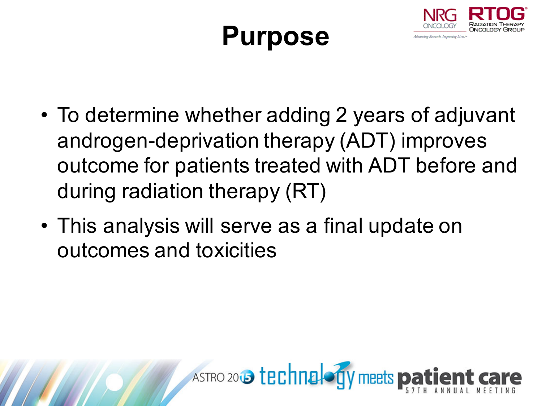#### **Purpose**



- To determine whether adding 2 years of adjuvant androgen-deprivation therapy (ADT) improves outcome for patients treated with ADT before and during radiation therapy (RT)
- This analysis will serve as a final update on outcomes and toxicities

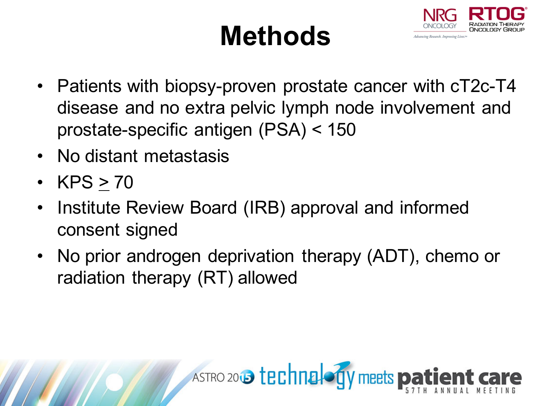## **Methods**



- Patients with biopsy-proven prostate cancer with cT2c-T4 disease and no extra pelvic lymph node involvement and prostate-specific antigen (PSA) < 150
- No distant metastasis
- KPS  $> 70$
- Institute Review Board (IRB) approval and informed consent signed
- No prior androgen deprivation therapy (ADT), chemo or radiation therapy (RT) allowed

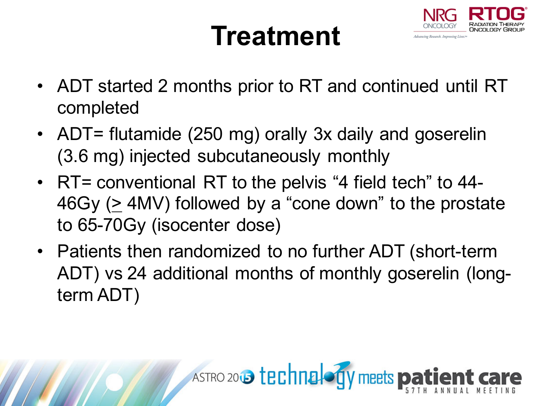#### **Treatment**



- ADT started 2 months prior to RT and continued until RT completed
- ADT= flutamide (250 mg) orally 3x daily and goserelin (3.6 mg) injected subcutaneously monthly
- RT= conventional RT to the pelvis "4 field tech" to 44-46Gy ( $\geq$  4MV) followed by a "cone down" to the prostate to 65-70Gy (isocenter dose)
- Patients then randomized to no further ADT (short-term ADT) vs 24 additional months of monthly goserelin (longterm ADT)

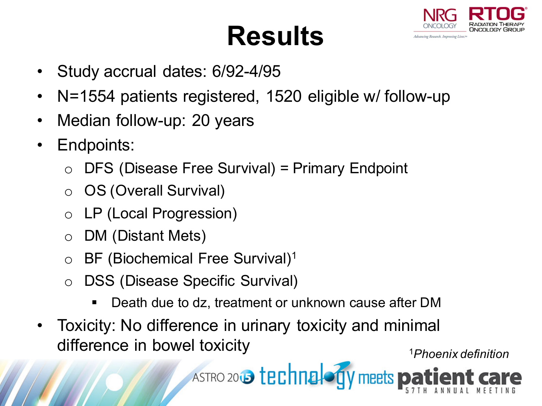#### **Results**



- Study accrual dates: 6/92-4/95
- N=1554 patients registered, 1520 eligible w/ follow-up
- Median follow-up: 20 years
- Endpoints:
	- DFS (Disease Free Survival) = Primary Endpoint
	- OS (Overall Survival)
	- o LP (Local Progression)
	- DM (Distant Mets)
	- BF (Biochemical Free Survival)<sup>1</sup>
	- o DSS (Disease Specific Survival)
		- Death due to dz, treatment or unknown cause after DM
- Toxicity: No difference in urinary toxicity and minimal difference in bowel toxicity <sup>1</sup>*Phoenix definition*

ASTRO 2015 technalogy meets pat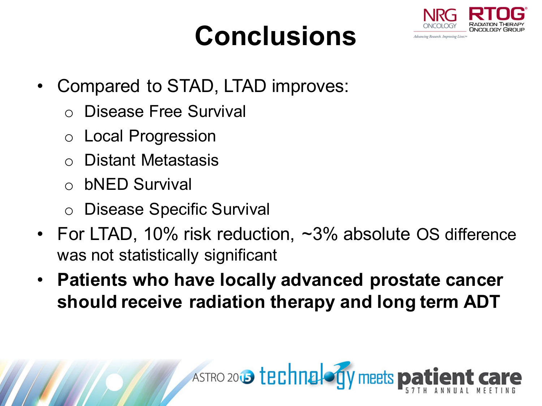## **Conclusions**



- Compared to STAD, LTAD improves:
	- o Disease Free Survival
	- o Local Progression
	- Distant Metastasis
	- o bNED Survival
	- o Disease Specific Survival
- For LTAD, 10% risk reduction, ~3% absolute OS difference was not statistically significant
- **Patients who have locally advanced prostate cancer should receive radiation therapy and long term ADT**